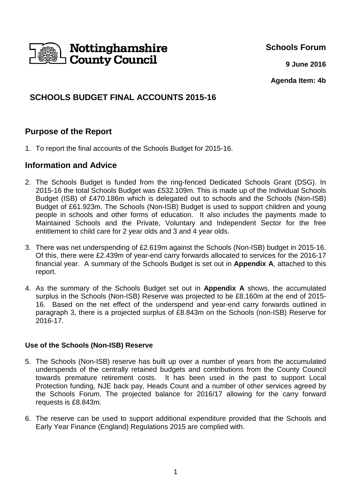

**Schools Forum**

**9 June 2016**

**Agenda Item: 4b**

# **SCHOOLS BUDGET FINAL ACCOUNTS 2015-16**

# **Purpose of the Report**

1. To report the final accounts of the Schools Budget for 2015-16.

## **Information and Advice**

- 2. The Schools Budget is funded from the ring-fenced Dedicated Schools Grant (DSG). In 2015-16 the total Schools Budget was £532.109m. This is made up of the Individual Schools Budget (ISB) of £470.186m which is delegated out to schools and the Schools (Non-ISB) Budget of £61.923m. The Schools (Non-ISB) Budget is used to support children and young people in schools and other forms of education. It also includes the payments made to Maintained Schools and the Private, Voluntary and Independent Sector for the free entitlement to child care for 2 year olds and 3 and 4 year olds.
- 3. There was net underspending of £2.619m against the Schools (Non-ISB) budget in 2015-16. Of this, there were £2.439m of year-end carry forwards allocated to services for the 2016-17 financial year. A summary of the Schools Budget is set out in **Appendix A**, attached to this report.
- 4. As the summary of the Schools Budget set out in **Appendix A** shows, the accumulated surplus in the Schools (Non-ISB) Reserve was projected to be £8.160m at the end of 2015- 16. Based on the net effect of the underspend and year-end carry forwards outlined in paragraph 3, there is a projected surplus of £8.843m on the Schools (non-ISB) Reserve for 2016-17.

#### **Use of the Schools (Non-ISB) Reserve**

- 5. The Schools (Non-ISB) reserve has built up over a number of years from the accumulated underspends of the centrally retained budgets and contributions from the County Council towards premature retirement costs. It has been used in the past to support Local Protection funding, NJE back pay, Heads Count and a number of other services agreed by the Schools Forum. The projected balance for 2016/17 allowing for the carry forward requests is £8.843m.
- 6. The reserve can be used to support additional expenditure provided that the Schools and Early Year Finance (England) Regulations 2015 are complied with.